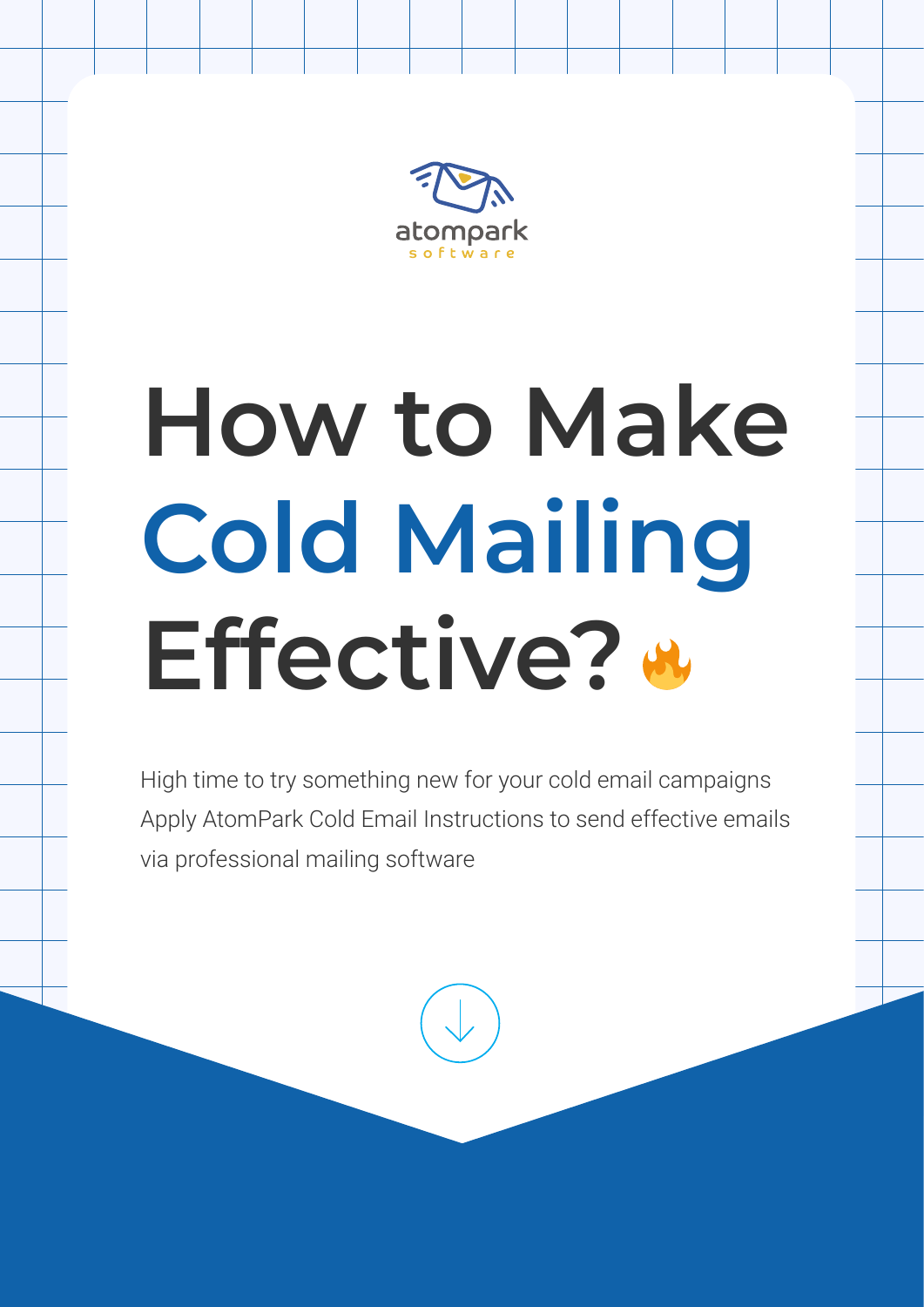

# **How to Make Cold Mailing Effective?**

High time to try something new for your cold email campaigns Apply AtomPark Cold Email Instructions to send effective emails via professional mailing software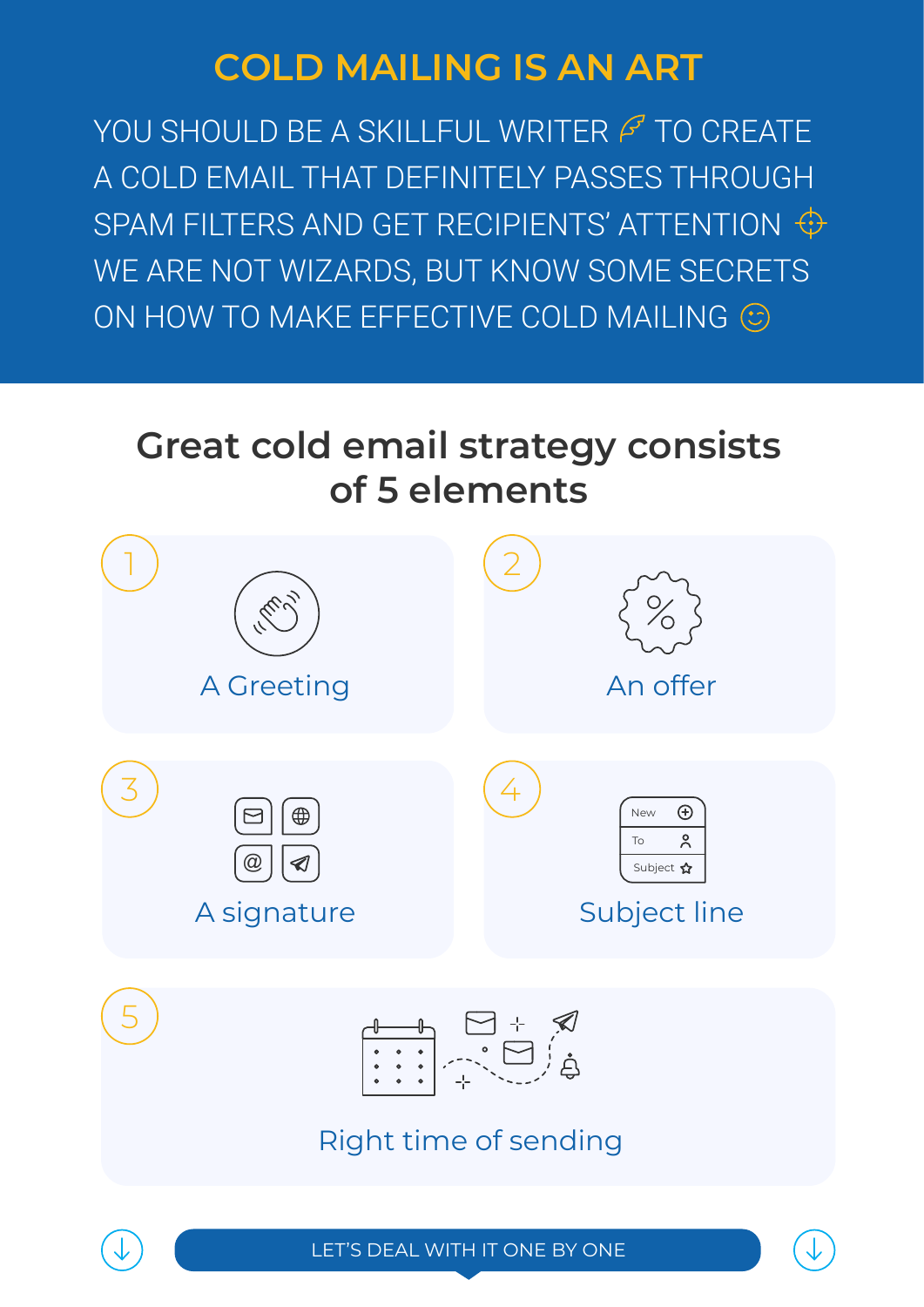#### **COLD MAILING IS AN ART**

YOU SHOULD BE A SKILLFUL WRITER  $\cancel{F}$  TO CREATE A COLD EMAIL THAT DEFINITELY PASSES THROUGH SPAM FILTERS AND GET RECIPIENTS' ATTENTION  $\bigoplus$ WE ARE NOT WIZARDS, BUT KNOW SOME SECRETS ON HOW TO MAKE EFFECTIVE COLD MAILING  $\odot$ 

#### **Great cold email strategy consists of 5 elements**

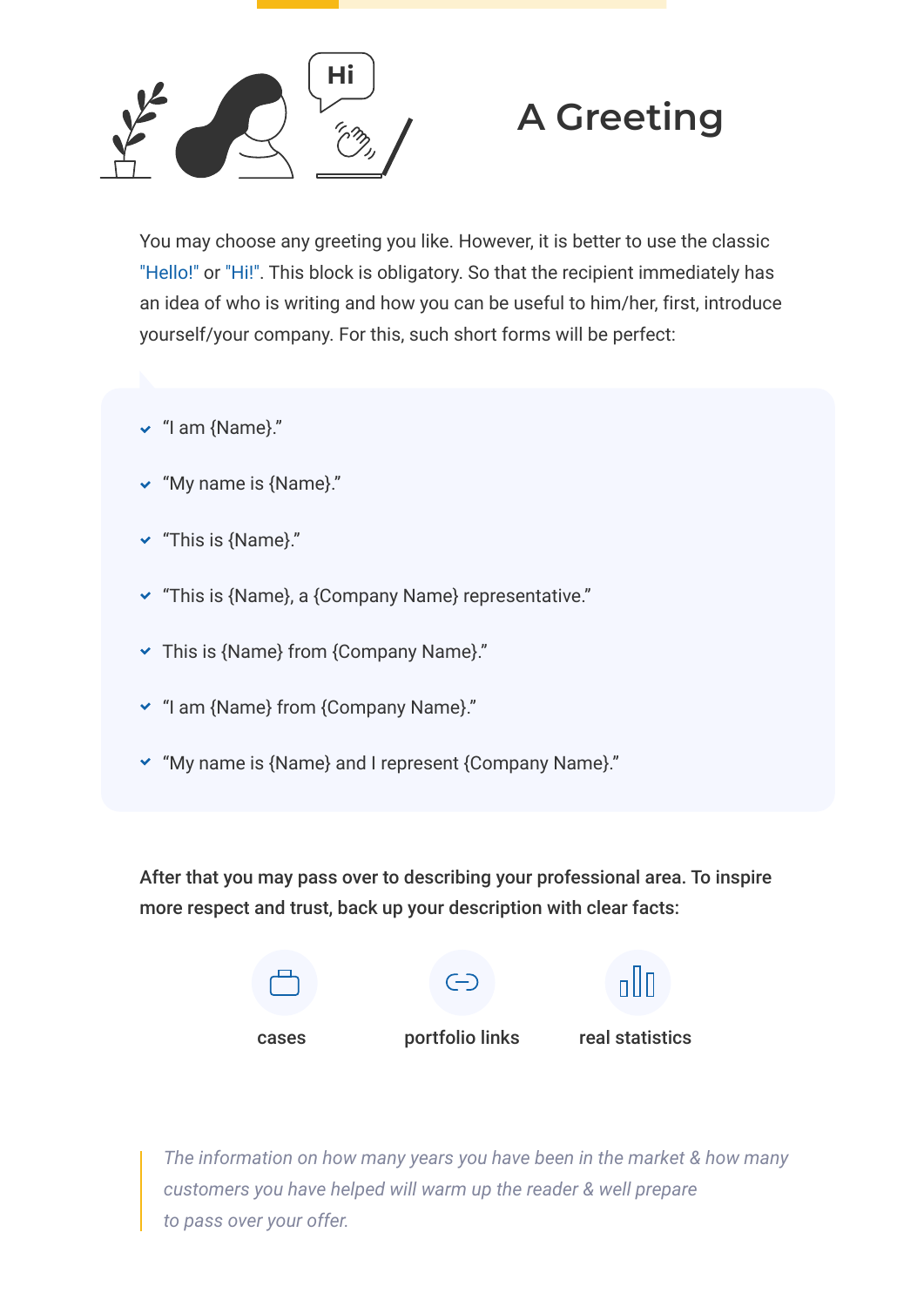

#### **A Greeting**

You may choose any greeting you like. However, it is better to use the classic "Hello!" or "Hi!". This block is obligatory. So that the recipient immediately has an idea of who is writing and how you can be useful to him/her, first, introduce yourself/your company. For this, such short forms will be perfect:

- $\vee$  "I am {Name}."
- "My name is {Name}."
- "This is {Name}."
- "This is {Name}, a {Company Name} representative."
- $\triangledown$  This is {Name} from {Company Name}."
- "I am {Name} from {Company Name}."
- "My name is {Name} and I represent {Company Name}."

After that you may pass over to describing your professional area. To inspire more respect and trust, back up your description with clear facts:



*Thе information on how many years you have been in the market & how many customers you have helped will warm up the reader & well prepare to pass over your offer.*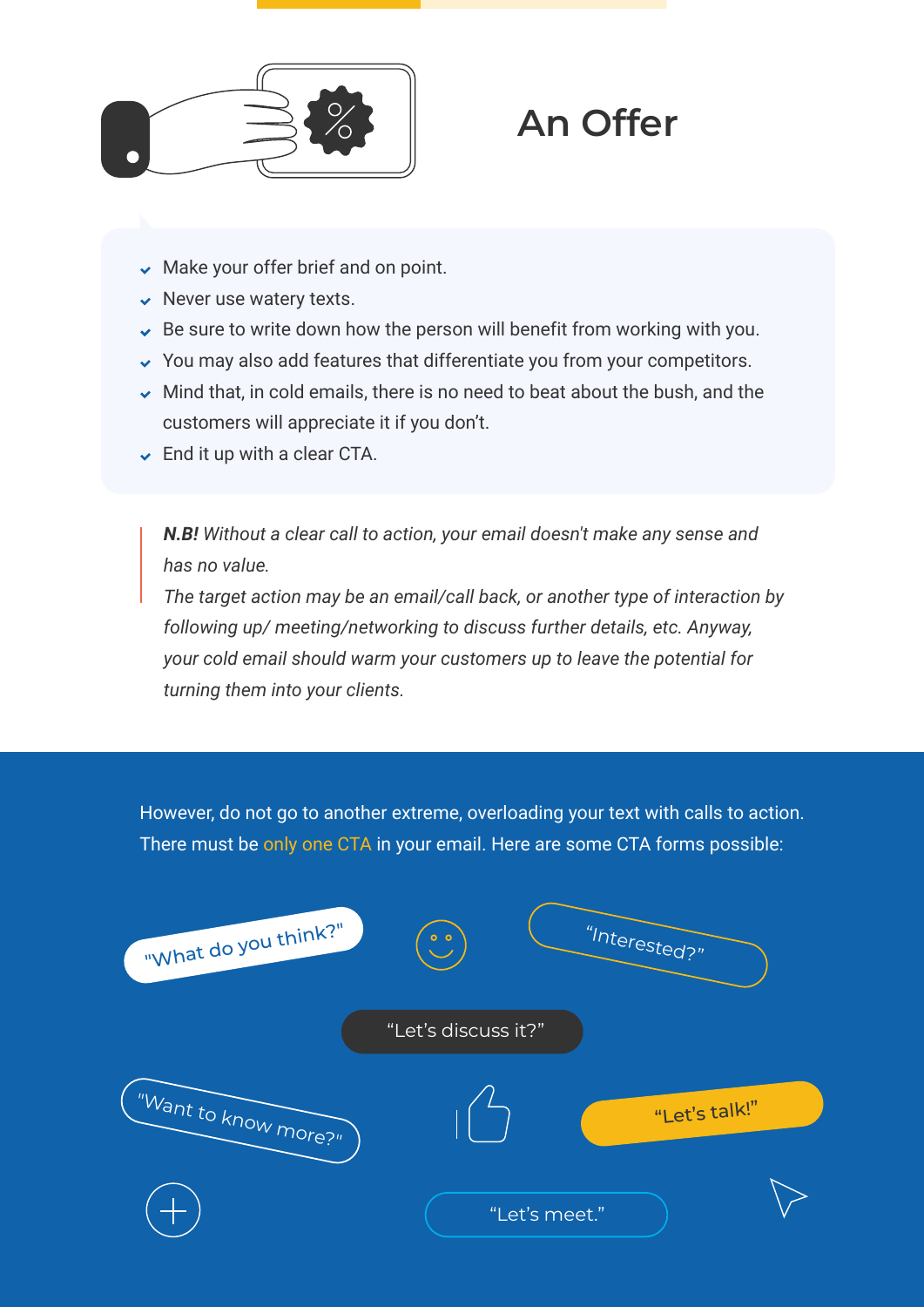

### **An Offer**

- $\vee$  Make your offer brief and on point.
- $\vee$  Never use watery texts.
- $\sim$  Be sure to write down how the person will benefit from working with you.
- $\sim$  You may also add features that differentiate you from your competitors.
- $\sim$  Mind that, in cold emails, there is no need to beat about the bush, and the customers will appreciate it if you don't.
- $\triangleright$  End it up with a clear CTA.

*N.B! Without a clear call to action, your email doesn't make any sense and has no value.*

*The target action may be an email/call back, or another type of interaction by following up/ meeting/networking to discuss further details, etc. Anyway, your cold email should warm your customers up to leave the potential for turning them into your clients.*

However, do not go to another extreme, overloading your text with calls to action. There must be only one CTA in your email. Here are some CTA forms possible:

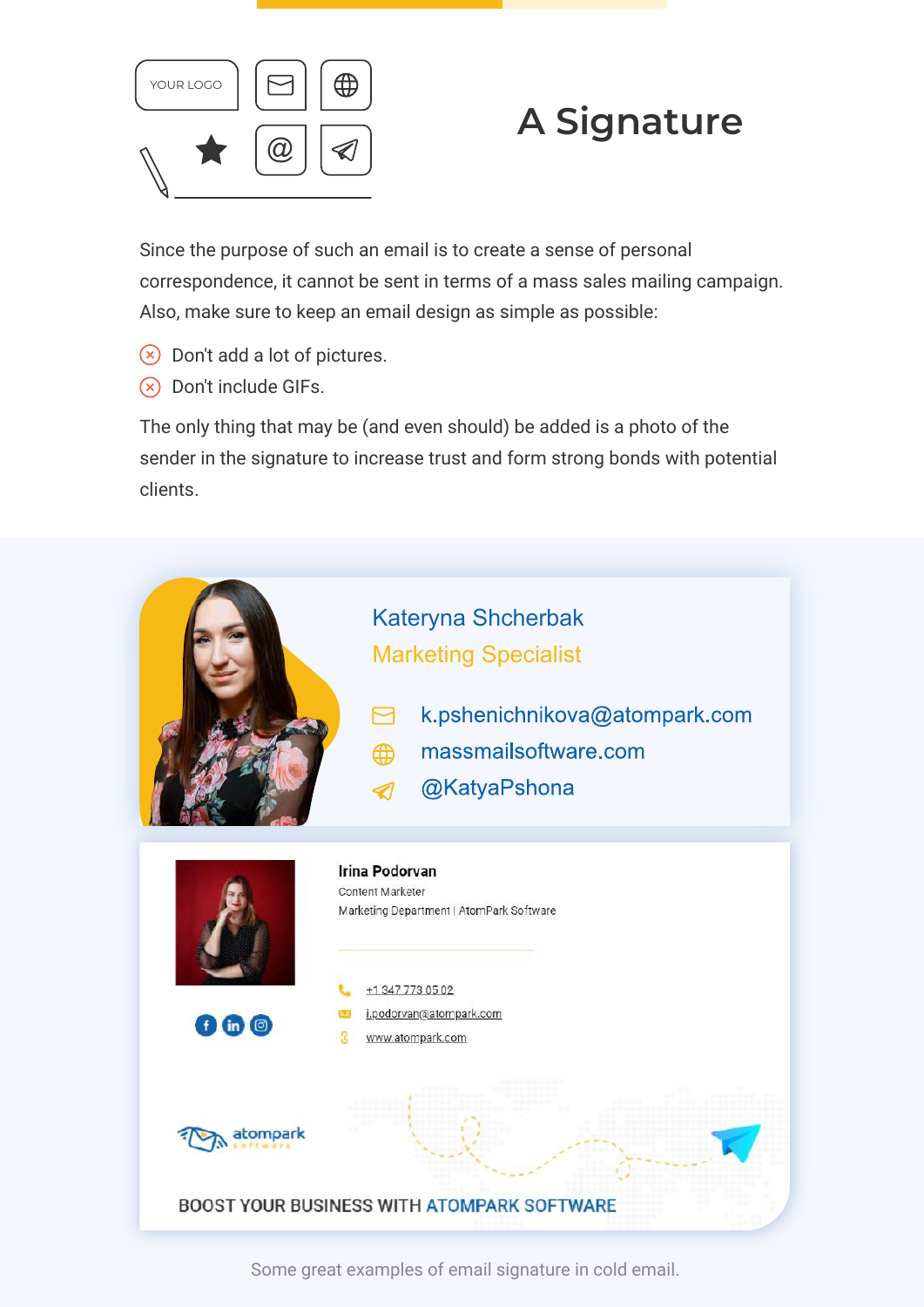

#### **A Signature**

Since the purpose of such an email is to create a sense of personal correspondence, it cannot be sent in terms of a mass sales mailing campaign. Also, make sure to keep an email design as simple as possible:

- $\Diamond$  Don't add a lot of pictures.
- $(x)$  Don't include GIFs.

The only thing that may be (and even should) be added is a photo of the sender in the signature to increase trust and form strong bonds with potential clients.



Some great examples of email signature in cold email.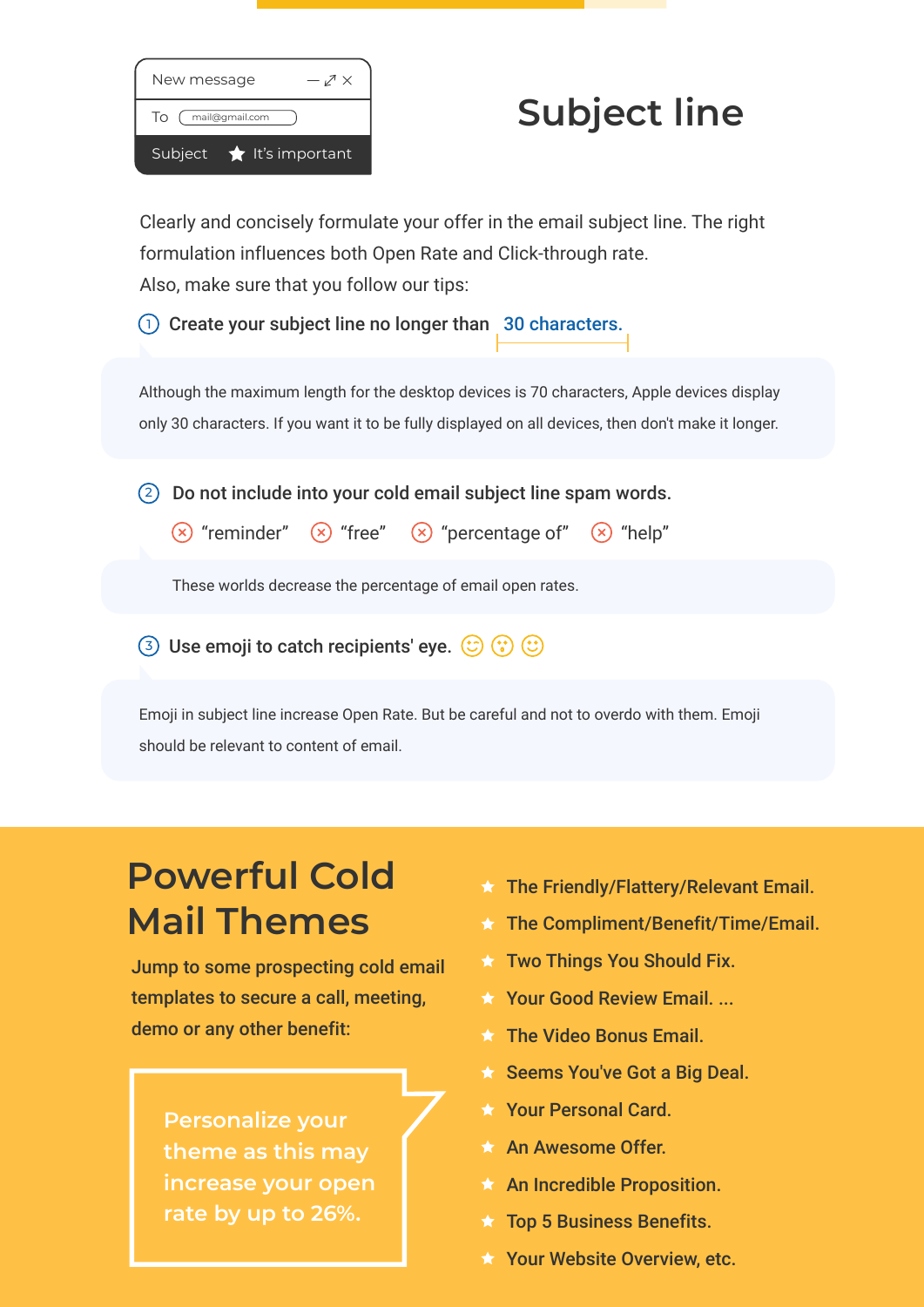| New message<br>$-\swarrow$      |
|---------------------------------|
| To (mail@gmail.com              |
| Subject <b>*</b> It's important |

### **Subject line**

Clearly and concisely formulate your offer in the email subject line. The right formulation influences both Open Rate and Click-through rate. Also, make sure that you follow our tips:

 $\overline{1}$  Create your subject line no longer than 30 characters.

Although the maximum length for the desktop devices is 70 characters, Apple devices display only 30 characters. If you want it to be fully displayed on all devices, then don't make it longer.

 $(2)$  Do not include into your cold email subject line spam words.

 $\overline{X}$  "reminder"  $\overline{X}$  "free"  $\overline{X}$  "percentage of"  $\overline{X}$  "help"

These worlds decrease the percentage of email open rates.

3 Use emoji to catch recipients' eye.  $\circled{c}$   $\circled{c}$ 

Emoji in subject line increase Open Rate. But be careful and not to overdo with them. Emoji should be relevant to content of email.

## **Powerful Cold Mail Themes**

Jump to some prospecting cold email templates to secure a call, meeting, demo or any other benefit:

**Personalize your theme as this may increase your open rate by up to 26%.**

- **★ The Friendly/Flattery/Relevant Email.**
- **★ The Compliment/Benefit/Time/Email.**
- **Two Things You Should Fix.**
- **Your Good Review Email...**
- **The Video Bonus Email.**
- ★ Seems You've Got a Big Deal.
- ★ Your Personal Card.
- An Awesome Offer.
- $\star$  An Incredible Proposition.
- $\star$  Top 5 Business Benefits.
- **X** Your Website Overview, etc.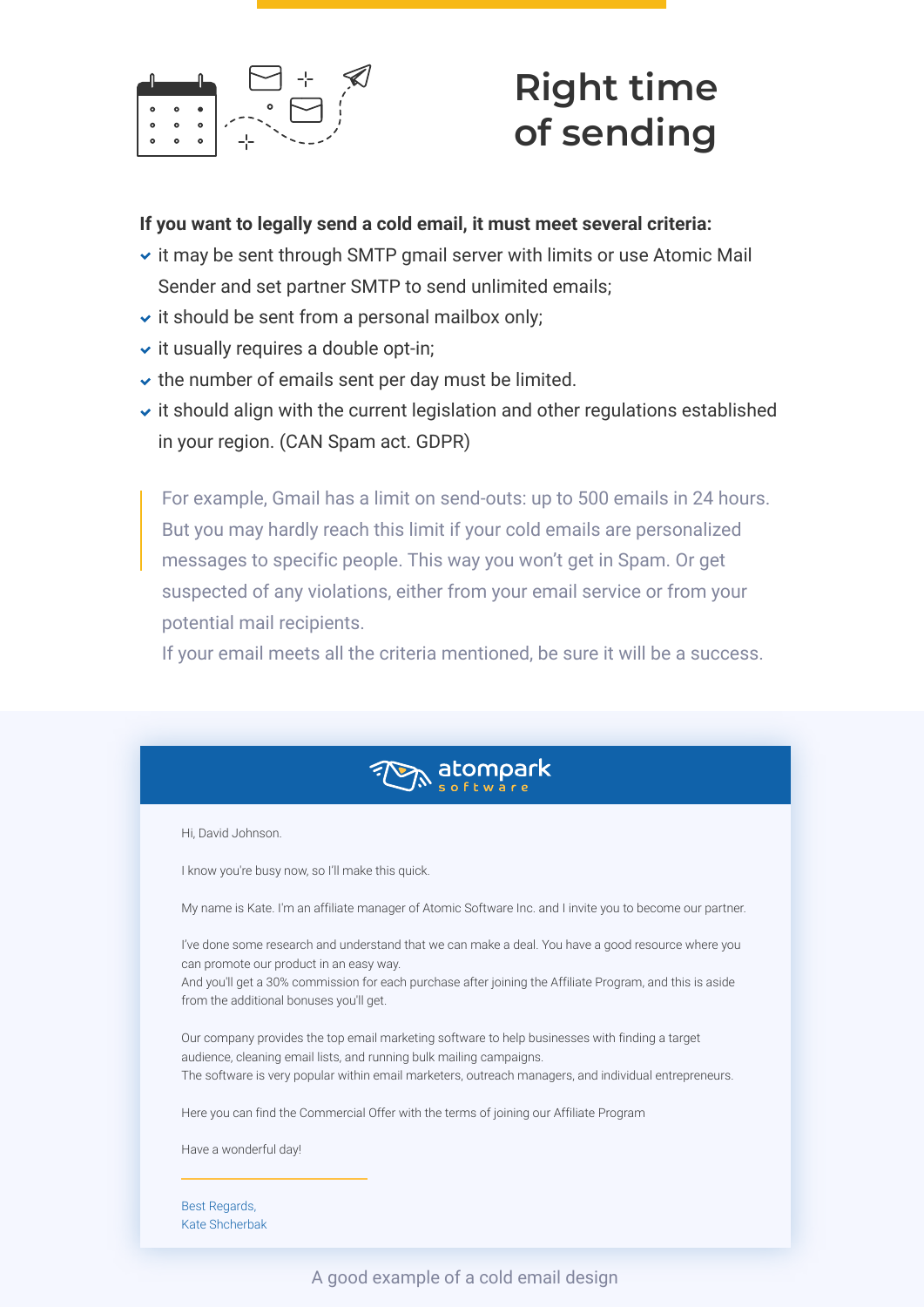

### **Right time of sending**

#### **If you want to legally send a cold email, it must meet several criteria:**

- $\cdot$  it may be sent through SMTP gmail server with limits or use Atomic Mail Sender and set partner SMTP to send unlimited emails;
- $\cdot$  it should be sent from a personal mailbox only;
- $\cdot$  it usually requires a double opt-in;
- $\vee$  the number of emails sent per day must be limited.
- $\cdot$  it should align with the current legislation and other regulations established in your region. (CAN Spam act. GDPR)

For example, Gmail has a limit on send-outs: up to 500 emails in 24 hours. But you may hardly reach this limit if your cold emails are personalized messages to specific people. This way you won't get in Spam. Or get suspected of any violations, either from your email service or from your potential mail recipients.

If your email meets all the criteria mentioned, be sure it will be a success.



Hi, David Johnson.

I know you're busy now, so I'll make this quick.

My name is Kate. I'm an affiliate manager of Atomic Software Inc. and I invite you to become our partner.

I've done some research and understand that we can make a deal. You have a good resource where you can promote our product in an easy way.

And you'll get a 30% commission for each purchase after joining the Affiliate Program, and this is aside from the additional bonuses you'll get.

Our company provides the top email marketing software to help businesses with finding a target audience, cleaning email lists, and running bulk mailing campaigns. The software is very popular within email marketers, outreach managers, and individual entrepreneurs.

Here you can find the Commercial Offer with the terms of joining our Affiliate Program

Have a wonderful day!

Best Regards, Kate Shcherbak

A good example of a cold email design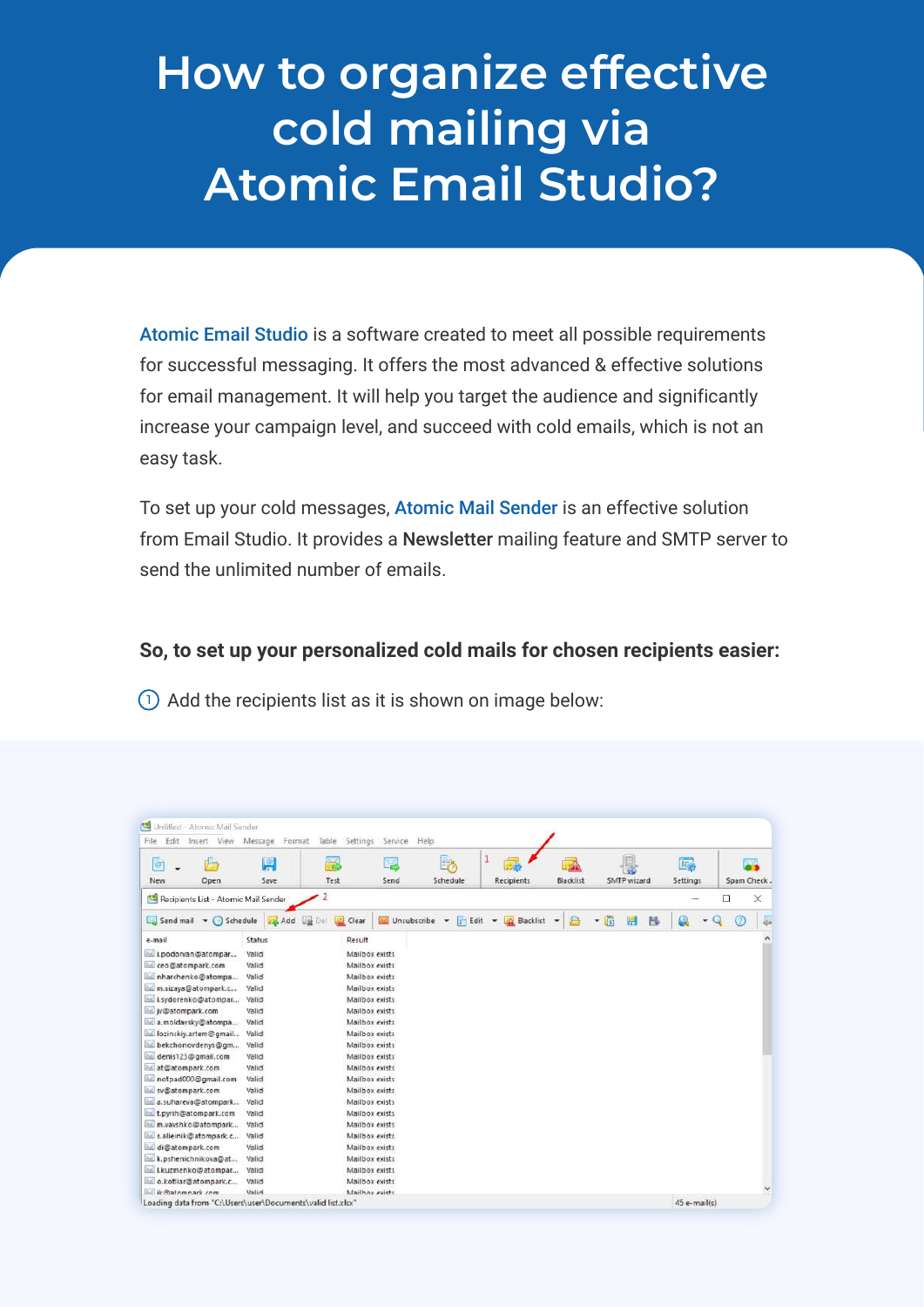# **How to organize effective cold mailing via Atomic Email Studio?**

Atomic Email Studio is a software created to meet all possible requirements for successful messaging. It offers the most advanced & effective solutions for email management. It will help you target the audience and significantly increase your campaign level, and succeed with cold emails, which is not an easy task.

To set up your cold messages, Atomic Mail Sender is an effective solution from Email Studio. It provides a Newsletter mailing feature and SMTP server to send the unlimited number of emails.

#### **So, to set up your personalized cold mails for chosen recipients easier:**

 $\left(\cdot\right)$  Add the recipients list as it is shown on image below:

| 2<br>$\Box$<br>Recipients List - Atomic Mail Sender<br>瞷<br>x Edit v Blacklist<br>Unsubscribe v<br>启<br>Ħ<br>愚<br>Send mail v Schedule<br>Clear<br>Ø<br><b>July Add</b><br>Del<br>$\overline{\phantom{a}}$<br>$\overline{\phantom{a}}$<br>e-mail<br><b>Status</b><br>Result<br>Valid<br>Mailbox exists<br>Valid<br>Mailbox exists<br>Mailbox exists<br>Valid<br>Mailbox exists<br>Valid<br>Valid<br>Mailbox exists<br>Valid<br>Mailbox exists<br>Mailbox exists<br>Valid<br>Mailbox exists<br>Valid<br>Mailbox exists<br>Valid<br>Valid<br>Mailbox exists<br>Valid<br>Mailbox exists<br>Valid<br>Mailbox exists<br>Valid<br>Mailbox exists<br>Valid<br>Mailbox exists<br>Mailbox exists<br>Valid<br>Valid<br>Mailbox exists<br>Valid<br>Mailbox exists<br>Valid<br>Mailbox exists<br>Mailbox exists<br>Valid<br>Valid<br>Mailbox exists<br>Mailbox exists | ū<br>New | dia.<br>Open | 團<br>Save | Þ<br>Test | Send | 字<br>Schedule | $\mathbf{1}$<br>Recipients | Blacklist | SMTP wizard | İĘ,<br>Settings | Spam Check. |          |
|-----------------------------------------------------------------------------------------------------------------------------------------------------------------------------------------------------------------------------------------------------------------------------------------------------------------------------------------------------------------------------------------------------------------------------------------------------------------------------------------------------------------------------------------------------------------------------------------------------------------------------------------------------------------------------------------------------------------------------------------------------------------------------------------------------------------------------------------------------------|----------|--------------|-----------|-----------|------|---------------|----------------------------|-----------|-------------|-----------------|-------------|----------|
|                                                                                                                                                                                                                                                                                                                                                                                                                                                                                                                                                                                                                                                                                                                                                                                                                                                           |          |              |           |           |      |               |                            |           |             |                 |             | $\times$ |
| La i.podorvan@atompar<br>ceo@atompark.com<br>Inharchenko@atompa<br>m.sizaya@atompark.c<br>ind i.sydorenko@atompar<br>in jv@atompark.com<br>a.moldavsky@atompa<br>lial lozinskiy.artem@gmail<br>bekchonovdenys@gm<br>denis123@gmail.com<br>at@atompark.com<br>notpad000@gmail.com<br>sv@atompark.com<br>a.suhareva@atompark<br>LL t.pyrih@atompark.com<br>m.vavshko@atompark<br>hai s.alieinik@atompark.c<br>di@atompark.com<br>k.pshenichnikova@at<br>Lkuzmenko@atompar<br>all o.kotliar@atompark.c                                                                                                                                                                                                                                                                                                                                                       |          |              |           |           |      |               |                            |           |             |                 |             | in 1     |
|                                                                                                                                                                                                                                                                                                                                                                                                                                                                                                                                                                                                                                                                                                                                                                                                                                                           |          |              |           |           |      |               |                            |           |             |                 |             | ٨        |
|                                                                                                                                                                                                                                                                                                                                                                                                                                                                                                                                                                                                                                                                                                                                                                                                                                                           |          |              |           |           |      |               |                            |           |             |                 |             |          |
|                                                                                                                                                                                                                                                                                                                                                                                                                                                                                                                                                                                                                                                                                                                                                                                                                                                           |          | Valid        |           |           |      |               |                            |           |             |                 |             |          |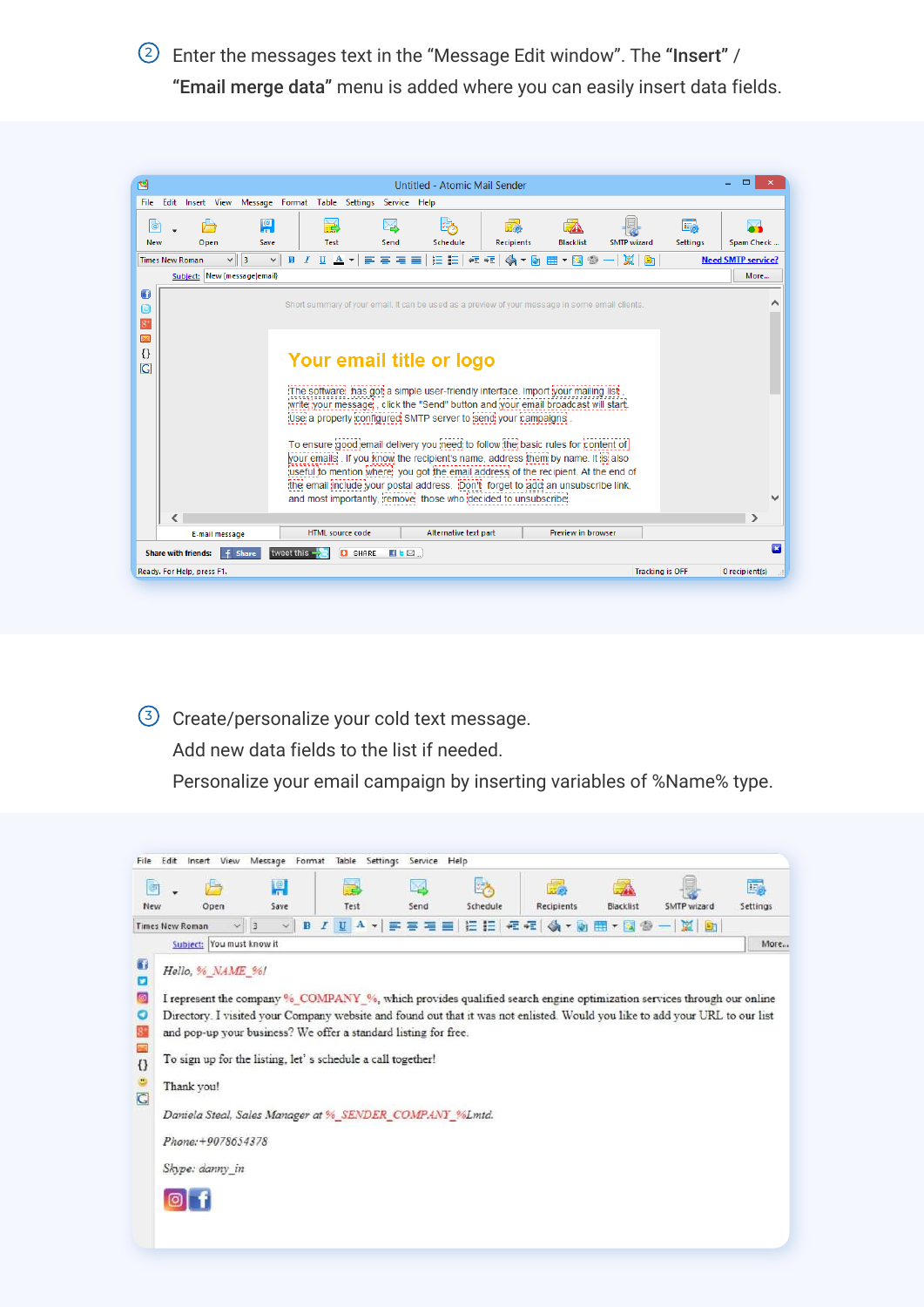<sup>2</sup> Enter the messages text in the "Message Edit window". The "Insert" / "Email merge data" menu is added where you can easily insert data fields.



<sup>3</sup> Create/personalize your cold text message.

Add new data fields to the list if needed.

Personalize your email campaign by inserting variables of %Name% type.

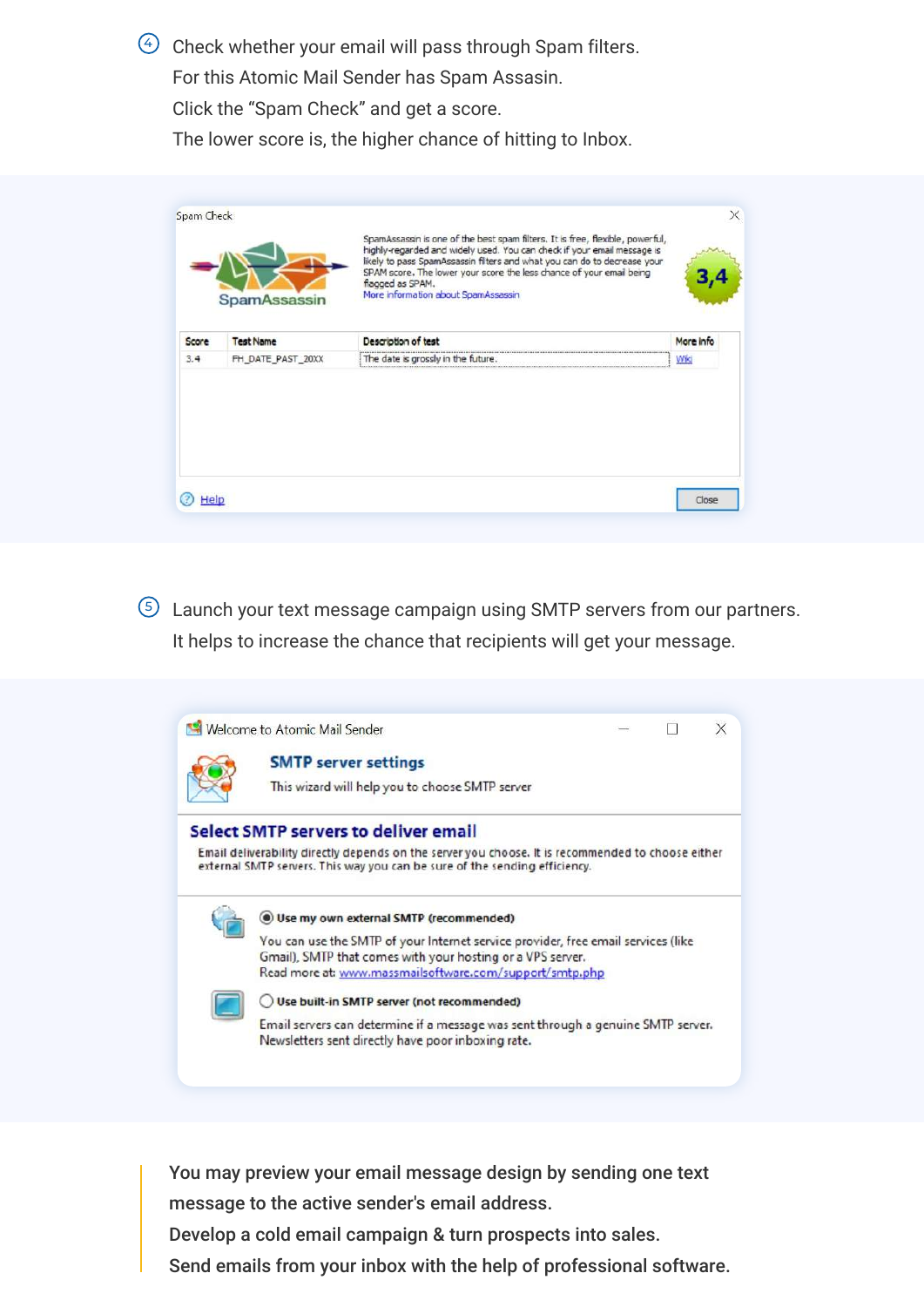$\overline{\Theta}$  Check whether your email will pass through Spam filters.

For this Atomic Mail Sender has Spam Assasin.

Click the "Spam Check" and get a score.

The lower score is, the higher chance of hitting to Inbox.

| Description of test<br>More info<br><b>Test Name</b><br>The date is grossly in the future.<br>FH DATE PAST 20XX<br>Wiki |       | <b>SpamAssassin</b> | SpamAssassin is one of the best spam filters. It is free, flexible, powerful,<br>highly-regarded and widely used. You can check if your email message is<br>likely to pass SpamAssassin filters and what you can do to decrease your<br>SPAM score. The lower your score the less chance of your email being<br>flagged as SPAM.<br>More information about SpamAssassin |  |
|-------------------------------------------------------------------------------------------------------------------------|-------|---------------------|-------------------------------------------------------------------------------------------------------------------------------------------------------------------------------------------------------------------------------------------------------------------------------------------------------------------------------------------------------------------------|--|
| 3.4                                                                                                                     | Score |                     |                                                                                                                                                                                                                                                                                                                                                                         |  |
|                                                                                                                         |       |                     |                                                                                                                                                                                                                                                                                                                                                                         |  |
|                                                                                                                         |       |                     |                                                                                                                                                                                                                                                                                                                                                                         |  |

<sup>5</sup> Launch your text message campaign using SMTP servers from our partners. It helps to increase the chance that recipients will get your message.



You may preview your email message design by sending one text message to the active sender's email address. Develop a cold email campaign & turn prospects into sales.

Send emails from your inbox with the help of professional software.